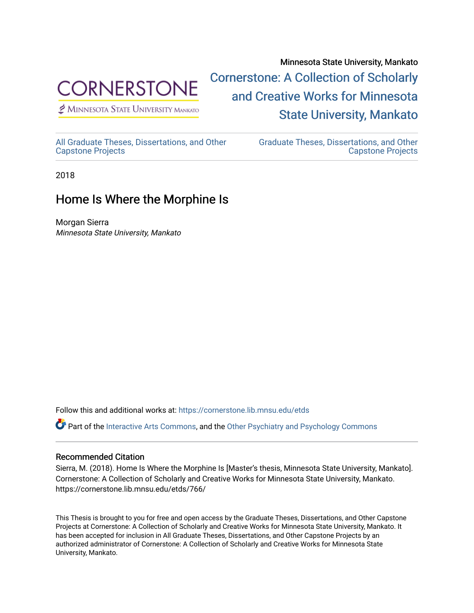

 $<sup>2</sup>$  Minnesota State University Mankato</sup>

Minnesota State University, Mankato [Cornerstone: A Collection of Scholarly](https://cornerstone.lib.mnsu.edu/)  [and Creative Works for Minnesota](https://cornerstone.lib.mnsu.edu/)  [State University, Mankato](https://cornerstone.lib.mnsu.edu/) 

[All Graduate Theses, Dissertations, and Other](https://cornerstone.lib.mnsu.edu/etds)  [Capstone Projects](https://cornerstone.lib.mnsu.edu/etds) 

[Graduate Theses, Dissertations, and Other](https://cornerstone.lib.mnsu.edu/theses_dissertations-capstone)  [Capstone Projects](https://cornerstone.lib.mnsu.edu/theses_dissertations-capstone) 

2018

## Home Is Where the Morphine Is

Morgan Sierra Minnesota State University, Mankato

Follow this and additional works at: [https://cornerstone.lib.mnsu.edu/etds](https://cornerstone.lib.mnsu.edu/etds?utm_source=cornerstone.lib.mnsu.edu%2Fetds%2F766&utm_medium=PDF&utm_campaign=PDFCoverPages) 

Part of the [Interactive Arts Commons](http://network.bepress.com/hgg/discipline/1136?utm_source=cornerstone.lib.mnsu.edu%2Fetds%2F766&utm_medium=PDF&utm_campaign=PDFCoverPages), and the [Other Psychiatry and Psychology Commons](http://network.bepress.com/hgg/discipline/992?utm_source=cornerstone.lib.mnsu.edu%2Fetds%2F766&utm_medium=PDF&utm_campaign=PDFCoverPages) 

## Recommended Citation

Sierra, M. (2018). Home Is Where the Morphine Is [Master's thesis, Minnesota State University, Mankato]. Cornerstone: A Collection of Scholarly and Creative Works for Minnesota State University, Mankato. https://cornerstone.lib.mnsu.edu/etds/766/

This Thesis is brought to you for free and open access by the Graduate Theses, Dissertations, and Other Capstone Projects at Cornerstone: A Collection of Scholarly and Creative Works for Minnesota State University, Mankato. It has been accepted for inclusion in All Graduate Theses, Dissertations, and Other Capstone Projects by an authorized administrator of Cornerstone: A Collection of Scholarly and Creative Works for Minnesota State University, Mankato.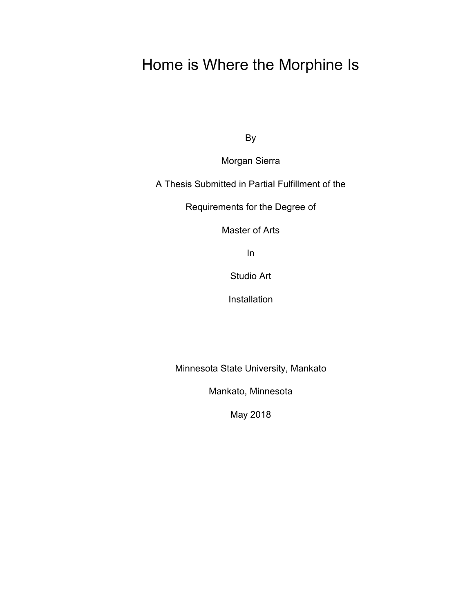## Home is Where the Morphine Is

By

Morgan Sierra

A Thesis Submitted in Partial Fulfillment of the

Requirements for the Degree of

Master of Arts

In

Studio Art

Installation

Minnesota State University, Mankato

Mankato, Minnesota

May 2018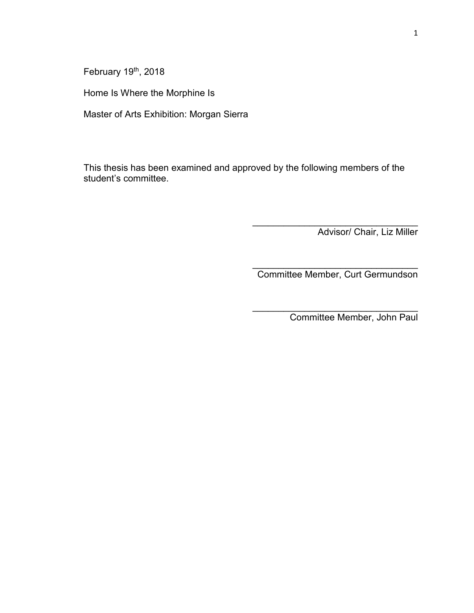February 19<sup>th</sup>, 2018

Home Is Where the Morphine Is

Master of Arts Exhibition: Morgan Sierra

This thesis has been examined and approved by the following members of the student's committee.

Advisor/ Chair, Liz Miller

\_\_\_\_\_\_\_\_\_\_\_\_\_\_\_\_\_\_\_\_\_\_\_\_\_\_\_\_\_\_\_\_ Committee Member, Curt Germundson

\_\_\_\_\_\_\_\_\_\_\_\_\_\_\_\_\_\_\_\_\_\_\_\_\_\_\_\_\_\_\_\_

 $\overline{\phantom{a}}$  , and the set of the set of the set of the set of the set of the set of the set of the set of the set of the set of the set of the set of the set of the set of the set of the set of the set of the set of the s

Committee Member, John Paul